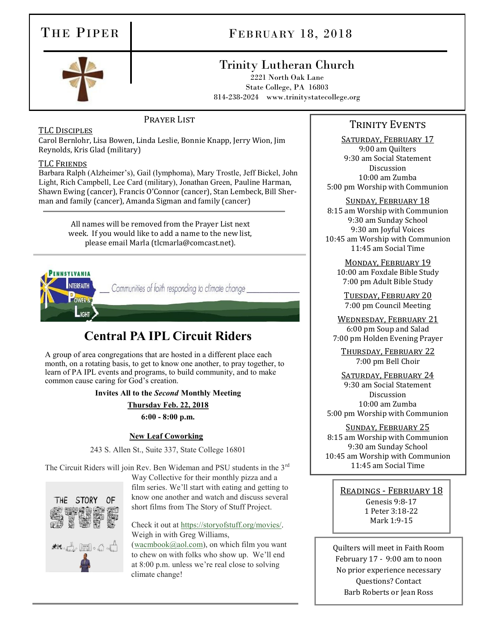# THE PIPER FEBRUARY 18, 2018

# Trinity Lutheran Church

2221 North Oak Lane State College, PA 16803 814-238-2024 www.trinitystatecollege.org

PRAYER LIST

## TLC Disciples

Carol Bernlohr, Lisa Bowen, Linda Leslie, Bonnie Knapp, Jerry Wion, Jim Reynolds, Kris Glad (military)

#### TLC Friends

Barbara Ralph (Alzheimer's), Gail (lymphoma), Mary Trostle, Jeff Bickel, John Light, Rich Campbell, Lee Card (military), Jonathan Green, Pauline Harman, Shawn Ewing (cancer), Francis O'Connor (cancer), Stan Lembeck, Bill Sherman and family (cancer), Amanda Sigman and family (cancer)

> All names will be removed from the Prayer List next week. If you would like to add a name to the new list, please email Marla (tlcmarla@comcast.net).



# **Central PA IPL Circuit Riders**

A group of area congregations that are hosted in a different place each month, on a rotating basis, to get to know one another, to pray together, to learn of PA IPL events and programs, to build community, and to make common cause caring for God's creation.

**Invites All to the** *Second* **Monthly Meeting**

**Thursday Feb. 22, 2018**

**6:00 - 8:00 p.m.**

### **New Leaf Coworking**

243 S. Allen St., Suite 337, State College 16801

The Circuit Riders will join Rev. Ben Wideman and PSU students in the 3<sup>rd</sup>



Way Collective for their monthly pizza and a film series. We'll start with eating and getting to know one another and watch and discuss several short films from The Story of Stuff Project.

Check it out at [https://storyofstuff.org/movies/.](https://storyofstuff.org/movies/) Weigh in with Greg Williams,

[\(wacmbook@aol.com\)](mailto:wacmbook@aol.com), on which film you want to chew on with folks who show up. We'll end at 8:00 p.m. unless we're real close to solving climate change!

# TRINITY EVENTS

SATURDAY, FEBRUARY 17 9:00 am Quilters 9:30 am Social Statement Discussion 10:00 am Zumba 5:00 pm Worship with Communion

Sunday, February 18 8:15 am Worship with Communion 9:30 am Sunday School 9:30 am Joyful Voices 10:45 am Worship with Communion 11:45 am Social Time

Monday, February 19 10:00 am Foxdale Bible Study 7:00 pm Adult Bible Study

Tuesday, February 20 7:00 pm Council Meeting

WEDNESDAY, FEBRUARY 21 6:00 pm Soup and Salad 7:00 pm Holden Evening Prayer

Thursday, February 22 7:00 pm Bell Choir

SATURDAY, FEBRUARY 24 9:30 am Social Statement Discussion 10:00 am Zumba 5:00 pm Worship with Communion

Sunday, February 25

8:15 am Worship with Communion 9:30 am Sunday School 10:45 am Worship with Communion 11:45 am Social Time

Readings - February 18

Genesis 9:8-17 1 Peter 3:18-22 Mark 1:9-15

Quilters will meet in Faith Room February 17 - 9:00 am to noon No prior experience necessary Questions? Contact Barb Roberts or Jean Ross